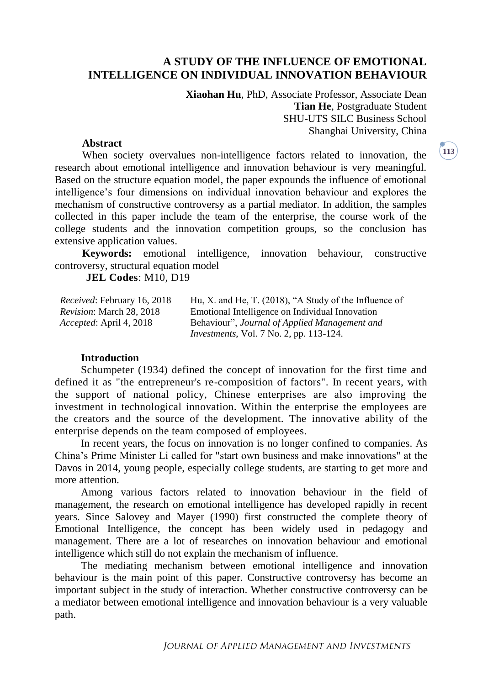# **A STUDY OF THE INFLUENCE OF EMOTIONAL INTELLIGENCE ON INDIVIDUAL INNOVATION BEHAVIOUR**

**Xiaohan Hu**, PhD, Associate Professor, Associate Dean **Tian He**, Postgraduate Student SHU-UTS SILC Business School Shanghai University, China

#### **Abstract**

When society overvalues non-intelligence factors related to innovation, the research about emotional intelligence and innovation behaviour is very meaningful. Based on the structure equation model, the paper expounds the influence of emotional intelligence's four dimensions on individual innovation behaviour and explores the mechanism of constructive controversy as a partial mediator. In addition, the samples collected in this paper include the team of the enterprise, the course work of the college students and the innovation competition groups, so the conclusion has extensive application values.

**Keywords:** emotional intelligence, innovation behaviour, constructive controversy, structural equation model

**JEL Codes**: M10, D19

*Received*: February 16, 2018 *Revision*: March 28, 2018 *Accepted*: April 4, 2018 Hu, X. and He, T. (2018), "A Study of the Influence of Emotional Intelligence on Individual Innovation Behaviour", *Journal of Applied Management and Investments*, Vol. 7 No. 2, pp. 113-124.

#### **Introduction**

Schumpeter (1934) defined the concept of innovation for the first time and defined it as "the entrepreneur's re-composition of factors". In recent years, with the support of national policy, Chinese enterprises are also improving the investment in technological innovation. Within the enterprise the employees are the creators and the source of the development. The innovative ability of the enterprise depends on the team composed of employees.

In recent years, the focus on innovation is no longer confined to companies. As China's Prime Minister Li called for "start own business and make innovations" at the Davos in 2014, young people, especially college students, are starting to get more and more attention.

Among various factors related to innovation behaviour in the field of management, the research on emotional intelligence has developed rapidly in recent years. Since Salovey and Mayer (1990) first constructed the complete theory of Emotional Intelligence, the concept has been widely used in pedagogy and management. There are a lot of researches on innovation behaviour and emotional intelligence which still do not explain the mechanism of influence.

The mediating mechanism between emotional intelligence and innovation behaviour is the main point of this paper. Constructive controversy has become an important subject in the study of interaction. Whether constructive controversy can be a mediator between emotional intelligence and innovation behaviour is a very valuable path.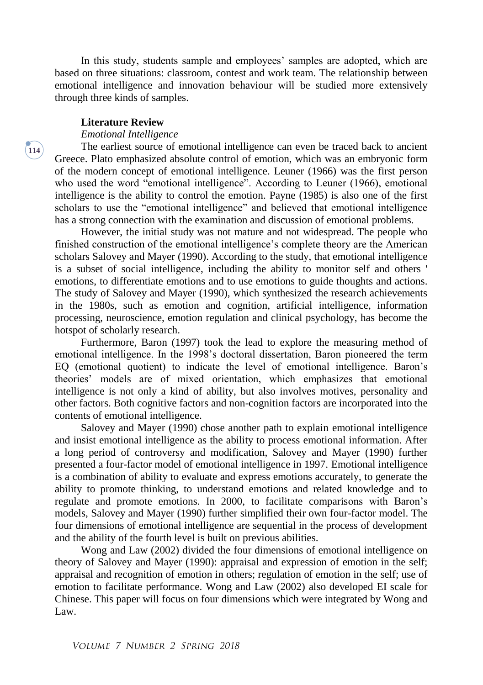In this study, students sample and employees' samples are adopted, which are based on three situations: classroom, contest and work team. The relationship between emotional intelligence and innovation behaviour will be studied more extensively through three kinds of samples.

#### **Literature Review**

#### *Emotional Intelligence*

The earliest source of emotional intelligence can even be traced back to ancient Greece. Plato emphasized absolute control of emotion, which was an embryonic form of the modern concept of emotional intelligence. Leuner (1966) was the first person who used the word "emotional intelligence". According to Leuner (1966), emotional intelligence is the ability to control the emotion. Payne (1985) is also one of the first scholars to use the "emotional intelligence" and believed that emotional intelligence has a strong connection with the examination and discussion of emotional problems.

However, the initial study was not mature and not widespread. The people who finished construction of the emotional intelligence's complete theory are the American scholars Salovey and Mayer (1990). According to the study, that emotional intelligence is a subset of social intelligence, including the ability to monitor self and others ' emotions, to differentiate emotions and to use emotions to guide thoughts and actions. The study of Salovey and Mayer (1990), which synthesized the research achievements in the 1980s, such as emotion and cognition, artificial intelligence, information processing, neuroscience, emotion regulation and clinical psychology, has become the hotspot of scholarly research.

Furthermore, Baron (1997) took the lead to explore the measuring method of emotional intelligence. In the 1998's doctoral dissertation, Baron pioneered the term EQ (emotional quotient) to indicate the level of emotional intelligence. Baron's theories' models are of mixed orientation, which emphasizes that emotional intelligence is not only a kind of ability, but also involves motives, personality and other factors. Both cognitive factors and non-cognition factors are incorporated into the contents of emotional intelligence.

Salovey and Mayer (1990) chose another path to explain emotional intelligence and insist emotional intelligence as the ability to process emotional information. After a long period of controversy and modification, Salovey and Mayer (1990) further presented a four-factor model of emotional intelligence in 1997. Emotional intelligence is a combination of ability to evaluate and express emotions accurately, to generate the ability to promote thinking, to understand emotions and related knowledge and to regulate and promote emotions. In 2000, to facilitate comparisons with Baron's models, Salovey and Mayer (1990) further simplified their own four-factor model. The four dimensions of emotional intelligence are sequential in the process of development and the ability of the fourth level is built on previous abilities.

Wong and Law (2002) divided the four dimensions of emotional intelligence on theory of Salovey and Mayer (1990): appraisal and expression of emotion in the self; appraisal and recognition of emotion in others; regulation of emotion in the self; use of emotion to facilitate performance. Wong and Law (2002) also developed EI scale for Chinese. This paper will focus on four dimensions which were integrated by Wong and Law.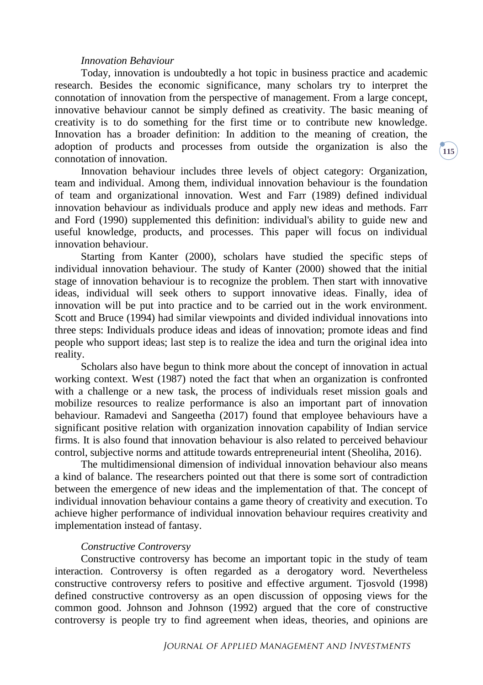#### *Innovation Behaviour*

Today, innovation is undoubtedly a hot topic in business practice and academic research. Besides the economic significance, many scholars try to interpret the connotation of innovation from the perspective of management. From a large concept, innovative behaviour cannot be simply defined as creativity. The basic meaning of creativity is to do something for the first time or to contribute new knowledge. Innovation has a broader definition: In addition to the meaning of creation, the adoption of products and processes from outside the organization is also the connotation of innovation.

Innovation behaviour includes three levels of object category: Organization, team and individual. Among them, individual innovation behaviour is the foundation of team and organizational innovation. West and Farr (1989) defined individual innovation behaviour as individuals produce and apply new ideas and methods. Farr and Ford (1990) supplemented this definition: individual's ability to guide new and useful knowledge, products, and processes. This paper will focus on individual innovation behaviour.

Starting from Kanter (2000), scholars have studied the specific steps of individual innovation behaviour. The study of Kanter (2000) showed that the initial stage of innovation behaviour is to recognize the problem. Then start with innovative ideas, individual will seek others to support innovative ideas. Finally, idea of innovation will be put into practice and to be carried out in the work environment. Scott and Bruce (1994) had similar viewpoints and divided individual innovations into three steps: Individuals produce ideas and ideas of innovation; promote ideas and find people who support ideas; last step is to realize the idea and turn the original idea into reality.

Scholars also have begun to think more about the concept of innovation in actual working context. West (1987) noted the fact that when an organization is confronted with a challenge or a new task, the process of individuals reset mission goals and mobilize resources to realize performance is also an important part of innovation behaviour. Ramadevi and Sangeetha (2017) found that employee behaviours have a significant positive relation with organization innovation capability of Indian service firms. It is also found that innovation behaviour is also related to perceived behaviour control, subjective norms and attitude towards entrepreneurial intent (Sheoliha, 2016).

The multidimensional dimension of individual innovation behaviour also means a kind of balance. The researchers pointed out that there is some sort of contradiction between the emergence of new ideas and the implementation of that. The concept of individual innovation behaviour contains a game theory of creativity and execution. To achieve higher performance of individual innovation behaviour requires creativity and implementation instead of fantasy.

#### *Constructive Controversy*

Constructive controversy has become an important topic in the study of team interaction. Controversy is often regarded as a derogatory word. Nevertheless constructive controversy refers to positive and effective argument. Tjosvold (1998) defined constructive controversy as an open discussion of opposing views for the common good. Johnson and Johnson (1992) argued that the core of constructive controversy is people try to find agreement when ideas, theories, and opinions are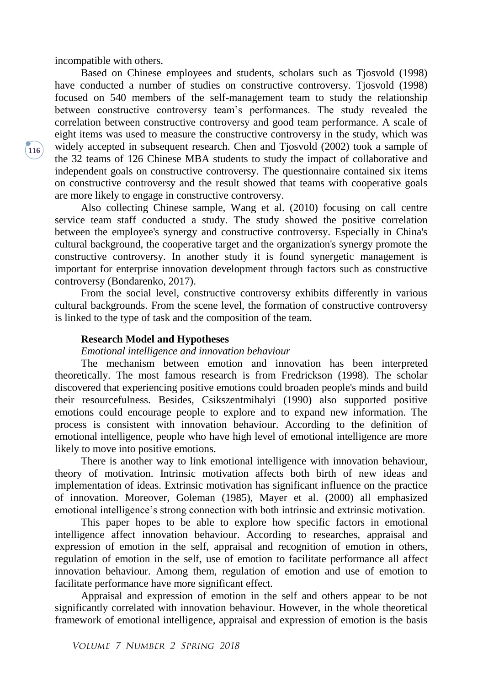incompatible with others.

Based on Chinese employees and students, scholars such as Tjosvold (1998) have conducted a number of studies on constructive controversy. Tjosvold (1998) focused on 540 members of the self-management team to study the relationship between constructive controversy team's performances. The study revealed the correlation between constructive controversy and good team performance. A scale of eight items was used to measure the constructive controversy in the study, which was widely accepted in subsequent research. Chen and Tjosvold (2002) took a sample of the 32 teams of 126 Chinese MBA students to study the impact of collaborative and independent goals on constructive controversy. The questionnaire contained six items on constructive controversy and the result showed that teams with cooperative goals are more likely to engage in constructive controversy.

Also collecting Chinese sample, Wang et al. (2010) focusing on call centre service team staff conducted a study. The study showed the positive correlation between the employee's synergy and constructive controversy. Especially in China's cultural background, the cooperative target and the organization's synergy promote the constructive controversy. In another study it is found synergetic management is important for enterprise innovation development through factors such as constructive controversy (Bondarenko, 2017).

From the social level, constructive controversy exhibits differently in various cultural backgrounds. From the scene level, the formation of constructive controversy is linked to the type of task and the composition of the team.

#### **Research Model and Hypotheses**

#### *Emotional intelligence and innovation behaviour*

The mechanism between emotion and innovation has been interpreted theoretically. The most famous research is from Fredrickson (1998). The scholar discovered that experiencing positive emotions could broaden people's minds and build their resourcefulness. Besides, Csikszentmihalyi (1990) also supported positive emotions could encourage people to explore and to expand new information. The process is consistent with innovation behaviour. According to the definition of emotional intelligence, people who have high level of emotional intelligence are more likely to move into positive emotions.

There is another way to link emotional intelligence with innovation behaviour, theory of motivation. Intrinsic motivation affects both birth of new ideas and implementation of ideas. Extrinsic motivation has significant influence on the practice of innovation. Moreover, Goleman (1985), Mayer et al. (2000) all emphasized emotional intelligence's strong connection with both intrinsic and extrinsic motivation.

This paper hopes to be able to explore how specific factors in emotional intelligence affect innovation behaviour. According to researches, appraisal and expression of emotion in the self, appraisal and recognition of emotion in others, regulation of emotion in the self, use of emotion to facilitate performance all affect innovation behaviour. Among them, regulation of emotion and use of emotion to facilitate performance have more significant effect.

Appraisal and expression of emotion in the self and others appear to be not significantly correlated with innovation behaviour. However, in the whole theoretical framework of emotional intelligence, appraisal and expression of emotion is the basis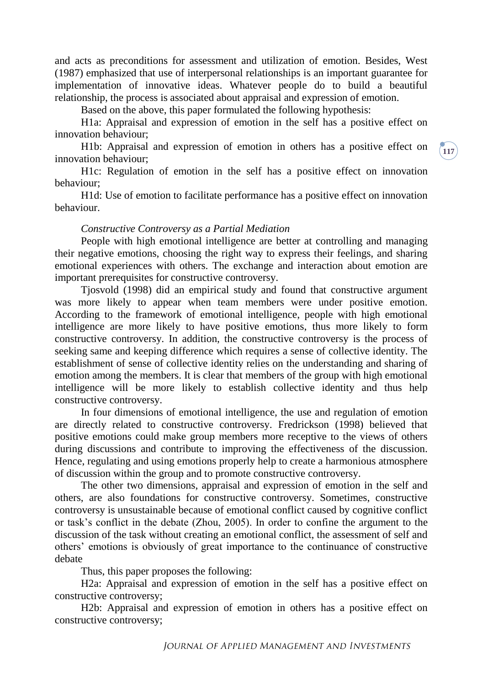and acts as preconditions for assessment and utilization of emotion. Besides, West (1987) emphasized that use of interpersonal relationships is an important guarantee for implementation of innovative ideas. Whatever people do to build a beautiful relationship, the process is associated about appraisal and expression of emotion.

Based on the above, this paper formulated the following hypothesis:

H1a: Appraisal and expression of emotion in the self has a positive effect on innovation behaviour;

H1b: Appraisal and expression of emotion in others has a positive effect on innovation behaviour;

H1c: Regulation of emotion in the self has a positive effect on innovation behaviour;

H1d: Use of emotion to facilitate performance has a positive effect on innovation behaviour.

#### *Constructive Controversy as a Partial Mediation*

People with high emotional intelligence are better at controlling and managing their negative emotions, choosing the right way to express their feelings, and sharing emotional experiences with others. The exchange and interaction about emotion are important prerequisites for constructive controversy.

Tjosvold (1998) did an empirical study and found that constructive argument was more likely to appear when team members were under positive emotion. According to the framework of emotional intelligence, people with high emotional intelligence are more likely to have positive emotions, thus more likely to form constructive controversy. In addition, the constructive controversy is the process of seeking same and keeping difference which requires a sense of collective identity. The establishment of sense of collective identity relies on the understanding and sharing of emotion among the members. It is clear that members of the group with high emotional intelligence will be more likely to establish collective identity and thus help constructive controversy.

In four dimensions of emotional intelligence, the use and regulation of emotion are directly related to constructive controversy. Fredrickson (1998) believed that positive emotions could make group members more receptive to the views of others during discussions and contribute to improving the effectiveness of the discussion. Hence, regulating and using emotions properly help to create a harmonious atmosphere of discussion within the group and to promote constructive controversy.

The other two dimensions, appraisal and expression of emotion in the self and others, are also foundations for constructive controversy. Sometimes, constructive controversy is unsustainable because of emotional conflict caused by cognitive conflict or task's conflict in the debate (Zhou, 2005). In order to confine the argument to the discussion of the task without creating an emotional conflict, the assessment of self and others' emotions is obviously of great importance to the continuance of constructive debate

Thus, this paper proposes the following:

H2a: Appraisal and expression of emotion in the self has a positive effect on constructive controversy;

H2b: Appraisal and expression of emotion in others has a positive effect on constructive controversy;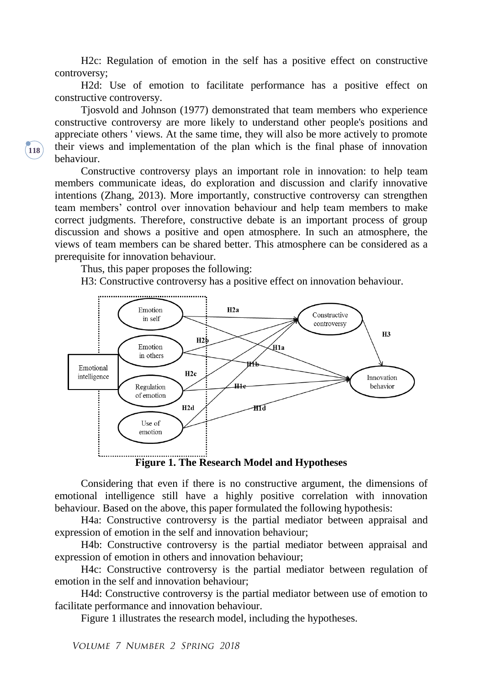H2c: Regulation of emotion in the self has a positive effect on constructive controversy;

H2d: Use of emotion to facilitate performance has a positive effect on constructive controversy.

Tjosvold and Johnson (1977) demonstrated that team members who experience constructive controversy are more likely to understand other people's positions and appreciate others ' views. At the same time, they will also be more actively to promote their views and implementation of the plan which is the final phase of innovation behaviour.

Constructive controversy plays an important role in innovation: to help team members communicate ideas, do exploration and discussion and clarify innovative intentions (Zhang, 2013). More importantly, constructive controversy can strengthen team members' control over innovation behaviour and help team members to make correct judgments. Therefore, constructive debate is an important process of group discussion and shows a positive and open atmosphere. In such an atmosphere, the views of team members can be shared better. This atmosphere can be considered as a prerequisite for innovation behaviour.

Thus, this paper proposes the following:

H3: Constructive controversy has a positive effect on innovation behaviour.



**Figure 1. The Research Model and Hypotheses**

Considering that even if there is no constructive argument, the dimensions of emotional intelligence still have a highly positive correlation with innovation behaviour. Based on the above, this paper formulated the following hypothesis:

H4a: Constructive controversy is the partial mediator between appraisal and expression of emotion in the self and innovation behaviour;

H4b: Constructive controversy is the partial mediator between appraisal and expression of emotion in others and innovation behaviour;

H4c: Constructive controversy is the partial mediator between regulation of emotion in the self and innovation behaviour;

H4d: Constructive controversy is the partial mediator between use of emotion to facilitate performance and innovation behaviour.

Figure 1 illustrates the research model, including the hypotheses.

VOLUME 7 NUMBER 2 SPRING 2018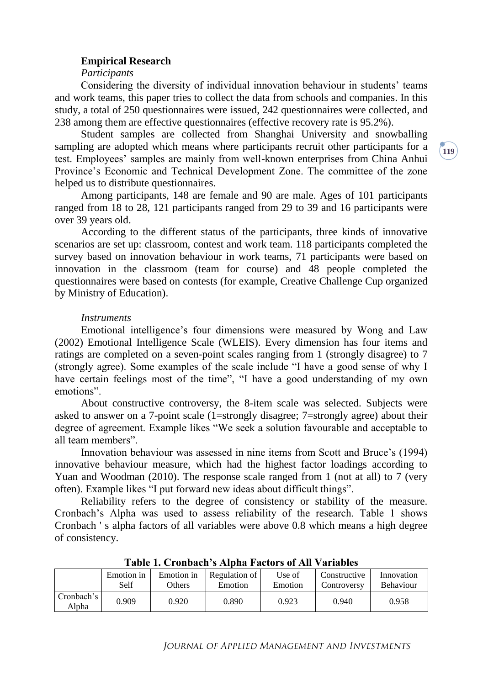#### **Empirical Research**

#### *Participants*

Considering the diversity of individual innovation behaviour in students' teams and work teams, this paper tries to collect the data from schools and companies. In this study, a total of 250 questionnaires were issued, 242 questionnaires were collected, and 238 among them are effective questionnaires (effective recovery rate is 95.2%).

Student samples are collected from Shanghai University and snowballing sampling are adopted which means where participants recruit other participants for a test. Employees' samples are mainly from well-known enterprises from China Anhui Province's Economic and Technical Development Zone. The committee of the zone helped us to distribute questionnaires.

Among participants, 148 are female and 90 are male. Ages of 101 participants ranged from 18 to 28, 121 participants ranged from 29 to 39 and 16 participants were over 39 years old.

According to the different status of the participants, three kinds of innovative scenarios are set up: classroom, contest and work team. 118 participants completed the survey based on innovation behaviour in work teams, 71 participants were based on innovation in the classroom (team for course) and 48 people completed the questionnaires were based on contests (for example, Creative Challenge Cup organized by Ministry of Education).

#### *Instruments*

Emotional intelligence's four dimensions were measured by Wong and Law (2002) Emotional Intelligence Scale (WLEIS). Every dimension has four items and ratings are completed on a seven-point scales ranging from 1 (strongly disagree) to 7 (strongly agree). Some examples of the scale include "I have a good sense of why I have certain feelings most of the time", "I have a good understanding of my own emotions".

About constructive controversy, the 8-item scale was selected. Subjects were asked to answer on a 7-point scale (1=strongly disagree; 7=strongly agree) about their degree of agreement. Example likes "We seek a solution favourable and acceptable to all team members".

Innovation behaviour was assessed in nine items from Scott and Bruce's (1994) innovative behaviour measure, which had the highest factor loadings according to Yuan and Woodman (2010). The response scale ranged from 1 (not at all) to 7 (very often). Example likes "I put forward new ideas about difficult things".

Reliability refers to the degree of consistency or stability of the measure. Cronbach's Alpha was used to assess reliability of the research. Table 1 shows Cronbach ' s alpha factors of all variables were above 0.8 which means a high degree of consistency.

| таріс 1. Стопрасп з лірна і асіогз от тип у аттарісу |            |            |               |         |              |                  |  |  |  |  |
|------------------------------------------------------|------------|------------|---------------|---------|--------------|------------------|--|--|--|--|
|                                                      | Emotion in | Emotion in | Regulation of | Use of  | Constructive | Innovation       |  |  |  |  |
|                                                      | Self       | Others     | Emotion       | Emotion | Controversy  | <b>Behaviour</b> |  |  |  |  |
| Cronbach's<br>Alpha                                  | 0.909      | 0.920      | 0.890         | 0.923   | 0.940        | 0.958            |  |  |  |  |

**Table 1. Cronbach's Alpha Factors of All Variables**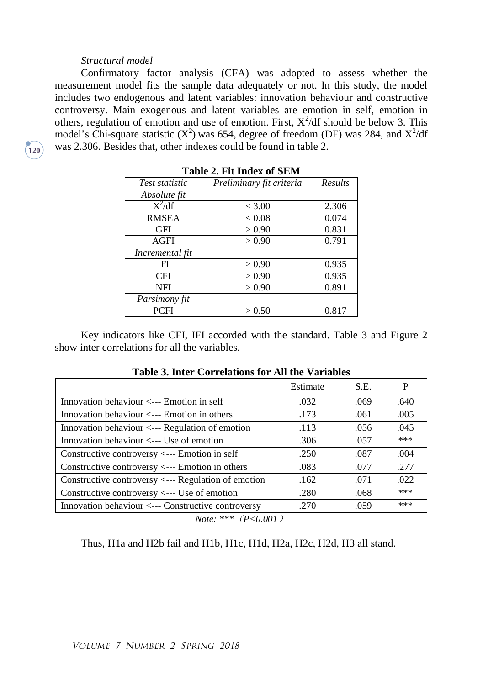#### *Structural model*

**120**

Confirmatory factor analysis (CFA) was adopted to assess whether the measurement model fits the sample data adequately or not. In this study, the model includes two endogenous and latent variables: innovation behaviour and constructive controversy. Main exogenous and latent variables are emotion in self, emotion in others, regulation of emotion and use of emotion. First,  $X^2/df$  should be below 3. This model's Chi-square statistic  $(X^2)$  was 654, degree of freedom (DF) was 284, and  $X^2/df$ was 2.306. Besides that, other indexes could be found in table 2.

| Table 2. Fit Index of SEM |                          |         |  |  |  |  |
|---------------------------|--------------------------|---------|--|--|--|--|
| Test statistic            | Preliminary fit criteria | Results |  |  |  |  |
| Absolute fit              |                          |         |  |  |  |  |
| $\overline{X^2/df}$       | < 3.00                   | 2.306   |  |  |  |  |
| <b>RMSEA</b>              | < 0.08                   | 0.074   |  |  |  |  |
| <b>GFI</b>                | > 0.90                   | 0.831   |  |  |  |  |
| AGFI                      | > 0.90                   | 0.791   |  |  |  |  |
| Incremental fit           |                          |         |  |  |  |  |
| IFI                       | > 0.90                   | 0.935   |  |  |  |  |
| <b>CFI</b>                | > 0.90                   | 0.935   |  |  |  |  |
| <b>NFI</b>                | > 0.90                   | 0.891   |  |  |  |  |
| Parsimony fit             |                          |         |  |  |  |  |
| <b>PCFI</b>               | > 0.50                   | 0.817   |  |  |  |  |

**Table 2. Fit Index of SEM**

Key indicators like CFI, IFI accorded with the standard. Table 3 and Figure 2 show inter correlations for all the variables.

| Table 5. Hitch Correlations for The tile variables  |          |      |      |  |  |  |  |
|-----------------------------------------------------|----------|------|------|--|--|--|--|
|                                                     | Estimate | S.E. | P    |  |  |  |  |
| Innovation behaviour $\leq$ --- Emotion in self     | .032     | .069 | .640 |  |  |  |  |
| Innovation behaviour $\leq$ --- Emotion in others   | .173     | .061 | .005 |  |  |  |  |
| Innovation behaviour <--- Regulation of emotion     | .113     | .056 | .045 |  |  |  |  |
| Innovation behaviour <--- Use of emotion            | .306     | .057 | ***  |  |  |  |  |
| Constructive controversy <--- Emotion in self       | .250     | .087 | .004 |  |  |  |  |
| Constructive controversy <--- Emotion in others     | .083     | .077 | .277 |  |  |  |  |
| Constructive controversy <--- Regulation of emotion | .162     | .071 | .022 |  |  |  |  |
| Constructive controversy <--- Use of emotion        | .280     | .068 | ***  |  |  |  |  |
| Innovation behaviour <--- Constructive controversy  | .270     | .059 | ***  |  |  |  |  |
|                                                     |          |      |      |  |  |  |  |

**Table 3. Inter Correlations for All the Variables**

Thus, H1a and H2b fail and H1b, H1c, H1d, H2a, H2c, H2d, H3 all stand.

*Note: \*\*\**(*P<0.001*)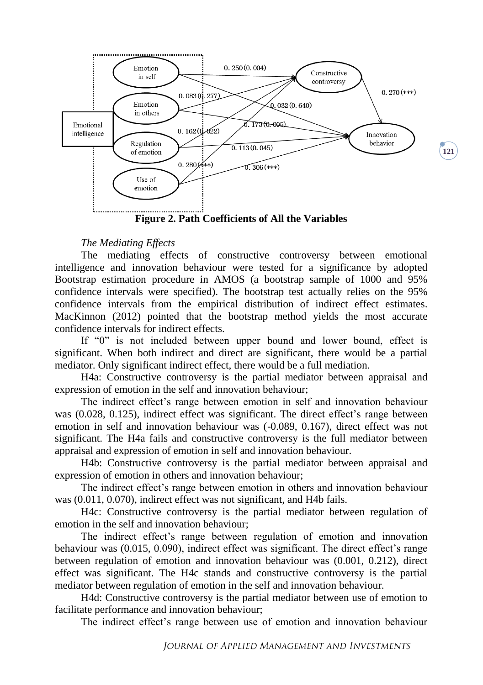

**Figure 2. Path Coefficients of All the Variables**

#### *The Mediating Effects*

The mediating effects of constructive controversy between emotional intelligence and innovation behaviour were tested for a significance by adopted Bootstrap estimation procedure in AMOS (a bootstrap sample of 1000 and 95% confidence intervals were specified). The bootstrap test actually relies on the 95% confidence intervals from the empirical distribution of indirect effect estimates. MacKinnon (2012) pointed that the bootstrap method yields the most accurate confidence intervals for indirect effects.

If "0" is not included between upper bound and lower bound, effect is significant. When both indirect and direct are significant, there would be a partial mediator. Only significant indirect effect, there would be a full mediation.

H4a: Constructive controversy is the partial mediator between appraisal and expression of emotion in the self and innovation behaviour;

The indirect effect's range between emotion in self and innovation behaviour was (0.028, 0.125), indirect effect was significant. The direct effect's range between emotion in self and innovation behaviour was (-0.089, 0.167), direct effect was not significant. The H4a fails and constructive controversy is the full mediator between appraisal and expression of emotion in self and innovation behaviour.

H4b: Constructive controversy is the partial mediator between appraisal and expression of emotion in others and innovation behaviour;

The indirect effect's range between emotion in others and innovation behaviour was (0.011, 0.070), indirect effect was not significant, and H4b fails.

H4c: Constructive controversy is the partial mediator between regulation of emotion in the self and innovation behaviour;

The indirect effect's range between regulation of emotion and innovation behaviour was (0.015, 0.090), indirect effect was significant. The direct effect's range between regulation of emotion and innovation behaviour was (0.001, 0.212), direct effect was significant. The H4c stands and constructive controversy is the partial mediator between regulation of emotion in the self and innovation behaviour.

H4d: Constructive controversy is the partial mediator between use of emotion to facilitate performance and innovation behaviour;

The indirect effect's range between use of emotion and innovation behaviour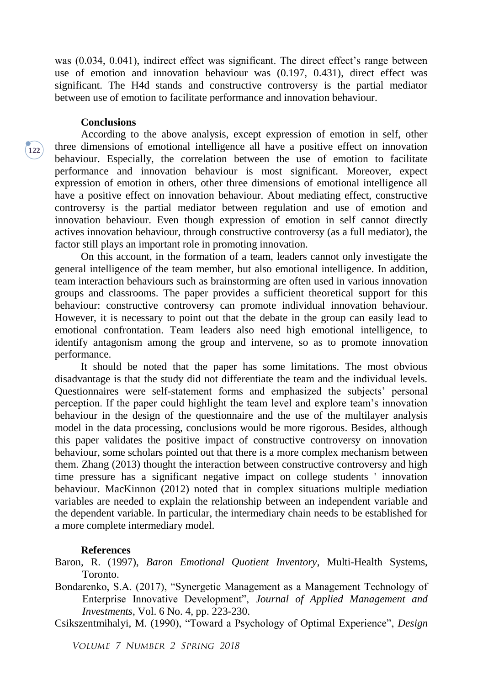was (0.034, 0.041), indirect effect was significant. The direct effect's range between use of emotion and innovation behaviour was (0.197, 0.431), direct effect was significant. The H4d stands and constructive controversy is the partial mediator between use of emotion to facilitate performance and innovation behaviour.

#### **Conclusions**

**122**

According to the above analysis, except expression of emotion in self, other three dimensions of emotional intelligence all have a positive effect on innovation behaviour. Especially, the correlation between the use of emotion to facilitate performance and innovation behaviour is most significant. Moreover, expect expression of emotion in others, other three dimensions of emotional intelligence all have a positive effect on innovation behaviour. About mediating effect, constructive controversy is the partial mediator between regulation and use of emotion and innovation behaviour. Even though expression of emotion in self cannot directly actives innovation behaviour, through constructive controversy (as a full mediator), the factor still plays an important role in promoting innovation.

On this account, in the formation of a team, leaders cannot only investigate the general intelligence of the team member, but also emotional intelligence. In addition, team interaction behaviours such as brainstorming are often used in various innovation groups and classrooms. The paper provides a sufficient theoretical support for this behaviour: constructive controversy can promote individual innovation behaviour. However, it is necessary to point out that the debate in the group can easily lead to emotional confrontation. Team leaders also need high emotional intelligence, to identify antagonism among the group and intervene, so as to promote innovation performance.

It should be noted that the paper has some limitations. The most obvious disadvantage is that the study did not differentiate the team and the individual levels. Questionnaires were self-statement forms and emphasized the subjects' personal perception. If the paper could highlight the team level and explore team's innovation behaviour in the design of the questionnaire and the use of the multilayer analysis model in the data processing, conclusions would be more rigorous. Besides, although this paper validates the positive impact of constructive controversy on innovation behaviour, some scholars pointed out that there is a more complex mechanism between them. Zhang (2013) thought the interaction between constructive controversy and high time pressure has a significant negative impact on college students ' innovation behaviour. MacKinnon (2012) noted that in complex situations multiple mediation variables are needed to explain the relationship between an independent variable and the dependent variable. In particular, the intermediary chain needs to be established for a more complete intermediary model.

#### **References**

Baron, R. (1997), *Baron Emotional Quotient Inventory*, Multi-Health Systems, Toronto.

Bondarenko, S.A. (2017), "Synergetic Management as a Management Technology of Enterprise Innovative Development", *Journal of Applied Management and Investments*, Vol. 6 No. 4, pp. 223-230.

Csikszentmihalyi, M. (1990), "Toward a Psychology of Optimal Experience", *Design* 

VOLUME 7 NUMBER 2 SPRING 2018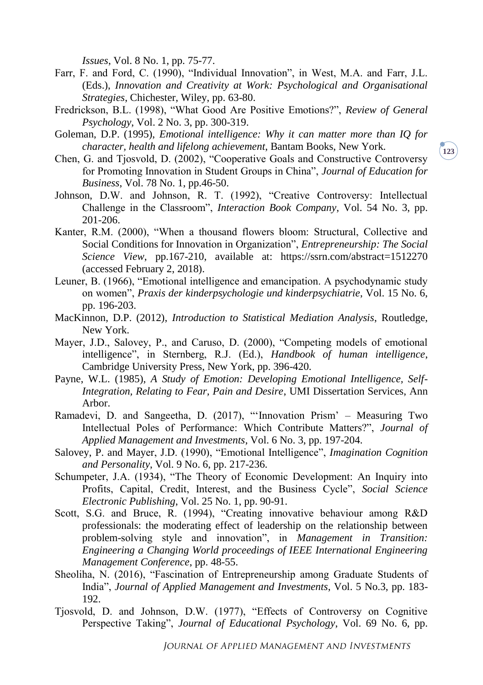*Issues*, Vol. 8 No. 1, pp. 75-77.

- Farr, F. and Ford, C. (1990), "Individual Innovation", in West, M.A. and Farr, J.L. (Eds.), *Innovation and Creativity at Work: Psychological and Organisational Strategies*, Chichester, Wiley, pp. 63-80.
- Fredrickson, B.L. (1998), "What Good Are Positive Emotions?", *Review of General Psychology*, Vol. 2 No. 3, pp. 300-319.
- Goleman, D.P. (1995), *Emotional intelligence: Why it can matter more than IQ for character, health and lifelong achievement*, Bantam Books, New York.
- Chen, G. and Tjosvold, D. (2002), "Cooperative Goals and Constructive Controversy for Promoting Innovation in Student Groups in China", *Journal of Education for Business*, Vol. 78 No. 1, pp.46-50.
- Johnson, D.W. and Johnson, R. T. (1992), "Creative Controversy: Intellectual Challenge in the Classroom", *Interaction Book Company*, Vol. 54 No. 3, pp. 201-206.
- Kanter, R.M. (2000), "When a thousand flowers bloom: Structural, Collective and Social Conditions for Innovation in Organization", *Entrepreneurship: The Social Science View*, pp.167-210, available at: https://ssrn.com/abstract=1512270 (accessed February 2, 2018).
- Leuner, B. (1966), "Emotional intelligence and emancipation. A psychodynamic study on women", *Praxis der kinderpsychologie und kinderpsychiatrie*, Vol. 15 No. 6, pp. 196-203.
- MacKinnon, D.P. (2012), *Introduction to Statistical Mediation Analysis*, Routledge, New York.
- Mayer, J.D., Salovey, P., and Caruso, D. (2000), "Competing models of emotional intelligence", in Sternberg, R.J. (Ed.), *Handbook of human intelligence*, Cambridge University Press, New York, pp. 396-420.
- Payne, W.L. (1985), *A Study of Emotion: Developing Emotional Intelligence, Self-Integration, Relating to Fear, Pain and Desire*, UMI Dissertation Services, Ann Arbor.
- Ramadevi, D. and Sangeetha, D. (2017), "'Innovation Prism' Measuring Two Intellectual Poles of Performance: Which Contribute Matters?", *Journal of Applied Management and Investments*, Vol. 6 No. 3, pp. 197-204.
- Salovey, P. and Mayer, J.D. (1990), "Emotional Intelligence", *Imagination Cognition and Personality*, Vol. 9 No. 6, pp. 217-236.
- Schumpeter, J.A. (1934), "The Theory of Economic Development: An Inquiry into Profits, Capital, Credit, Interest, and the Business Cycle", *Social Science Electronic Publishing*, Vol. 25 No. 1, pp. 90-91.
- Scott, S.G. and Bruce, R. (1994), "Creating innovative behaviour among R&D professionals: the moderating effect of leadership on the relationship between problem-solving style and innovation", in *Management in Transition: Engineering a Changing World proceedings of IEEE International Engineering Management Conference*, pp. 48-55.
- Sheoliha, N. (2016), "Fascination of Entrepreneurship among Graduate Students of India", *Journal of Applied Management and Investments*, Vol. 5 No.3, pp. 183- 192.
- Tjosvold, D. and Johnson, D.W. (1977), "Effects of Controversy on Cognitive Perspective Taking", *Journal of Educational Psychology*, Vol. 69 No. 6, pp.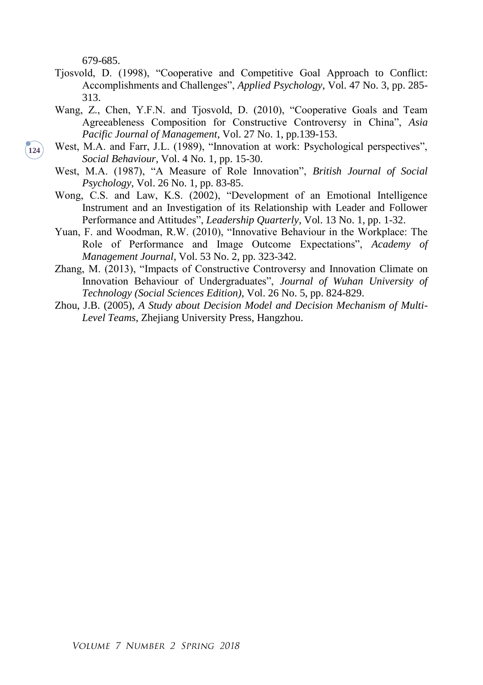679-685.

- Tjosvold, D. (1998), "Cooperative and Competitive Goal Approach to Conflict: Accomplishments and Challenges", *Applied Psychology*, Vol. 47 No. 3, pp. 285- 313.
- Wang, Z., Chen, Y.F.N. and Tjosvold, D. (2010), "Cooperative Goals and Team Agreeableness Composition for Constructive Controversy in China", *Asia Pacific Journal of Management*, Vol. 27 No. 1, pp.139-153.
- West, M.A. and Farr, J.L. (1989), "Innovation at work: Psychological perspectives". *Social Behaviour*, Vol. 4 No. 1, pp. 15-30.
- West, M.A. (1987), "A Measure of Role Innovation", *British Journal of Social Psychology*, Vol. 26 No. 1, pp. 83-85.
- Wong, C.S. and Law, K.S. (2002), "Development of an Emotional Intelligence Instrument and an Investigation of its Relationship with Leader and Follower Performance and Attitudes", *Leadership Quarterly*, Vol. 13 No. 1, pp. 1-32.
- Yuan, F. and Woodman, R.W. (2010), "Innovative Behaviour in the Workplace: The Role of Performance and Image Outcome Expectations", *Academy of Management Journal*, Vol. 53 No. 2, pp. 323-342.
- Zhang, M. (2013), "Impacts of Constructive Controversy and Innovation Climate on Innovation Behaviour of Undergraduates", *Journal of Wuhan University of Technology (Social Sciences Edition)*, Vol. 26 No. 5, pp. 824-829.
- Zhou, J.B. (2005), *A Study about Decision Model and Decision Mechanism of Multi-Level Teams*, Zhejiang University Press, Hangzhou.